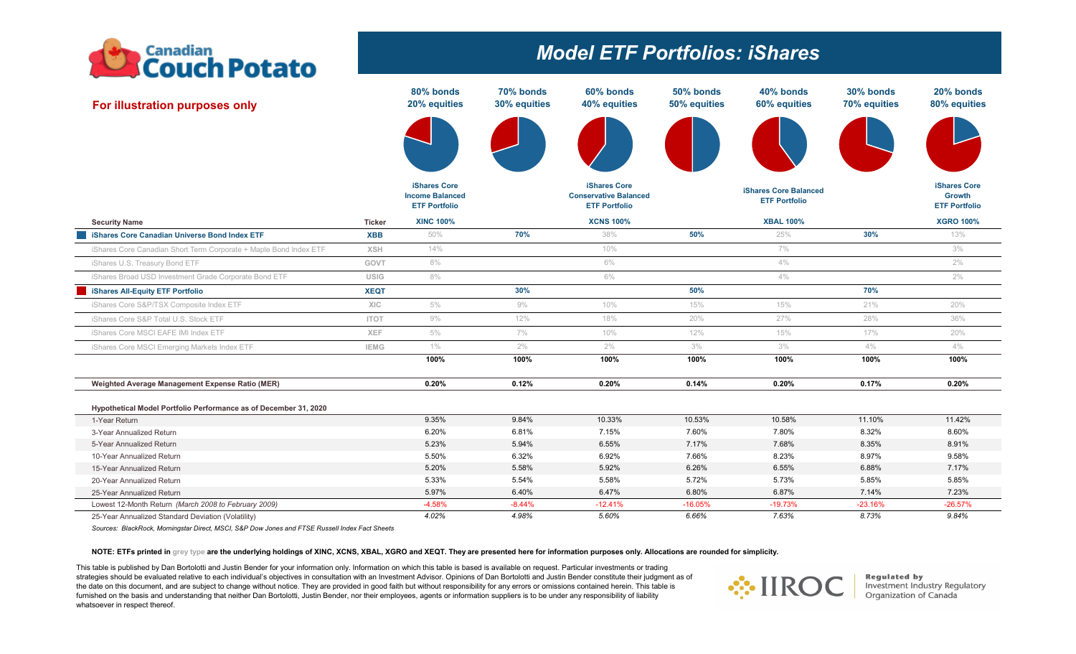

# *Model ETF Portfolios: iShares*

| For illustration purposes only                                    |               | 80% bonds<br>20% equities                                      | 70% bonds<br>30% equities | 60% bonds<br>40% equities                                                   | 50% bonds<br>50% equities | 40% bonds<br>60% equities                            | 30% bonds<br>70% equities | 20% bonds<br>80% equities                                    |
|-------------------------------------------------------------------|---------------|----------------------------------------------------------------|---------------------------|-----------------------------------------------------------------------------|---------------------------|------------------------------------------------------|---------------------------|--------------------------------------------------------------|
|                                                                   |               |                                                                |                           |                                                                             |                           |                                                      |                           |                                                              |
|                                                                   |               | iShares Core<br><b>Income Balanced</b><br><b>ETF Portfolio</b> |                           | <b>iShares Core</b><br><b>Conservative Balanced</b><br><b>ETF Portfolio</b> |                           | <b>iShares Core Balanced</b><br><b>ETF Portfolio</b> |                           | <b>iShares Core</b><br><b>Growth</b><br><b>ETF Portfolio</b> |
| <b>Security Name</b>                                              | <b>Ticker</b> | <b>XINC 100%</b>                                               |                           | <b>XCNS 100%</b>                                                            |                           | <b>XBAL 100%</b>                                     |                           | <b>XGRO 100%</b>                                             |
| <b>iShares Core Canadian Universe Bond Index ETF</b>              | <b>XBB</b>    | 50%                                                            | 70%                       | 38%                                                                         | 50%                       | 25%                                                  | 30%                       | 13%                                                          |
| iShares Core Canadian Short Term Corporate + Maple Bond Index ETF | <b>XSH</b>    | 14%                                                            |                           | 10%                                                                         |                           | $7\%$                                                |                           | 3%                                                           |
| iShares U.S. Treasury Bond ETF                                    | GOVT          | 8%                                                             |                           | 6%                                                                          |                           | 4%                                                   |                           | $2\%$                                                        |
| iShares Broad USD Investment Grade Corporate Bond ETF             | <b>USIG</b>   | 8%                                                             |                           | 6%                                                                          |                           | 4%                                                   |                           | $2\%$                                                        |
| iShares All-Equity ETF Portfolio                                  | <b>XEQT</b>   |                                                                | 30%                       |                                                                             | 50%                       |                                                      | 70%                       |                                                              |
| iShares Core S&P/TSX Composite Index ETF                          | <b>XIC</b>    | 5%                                                             | $9\%$                     | 10%                                                                         | 15%                       | 15%                                                  | 21%                       | 20%                                                          |
| iShares Core S&P Total U.S. Stock ETF                             | <b>ITOT</b>   | $9\%$                                                          | 12%                       | 18%                                                                         | 20%                       | 27%                                                  | 28%                       | 36%                                                          |
| iShares Core MSCI EAFE IMI Index ETF                              | XEF           | 5%                                                             | $7\%$                     | 10%                                                                         | 12%                       | 15%                                                  | 17%                       | 20%                                                          |
| iShares Core MSCI Emerging Markets Index ETF                      | <b>IEMG</b>   | $1\%$                                                          | $2\%$                     | 2%                                                                          | 3%                        | 3%                                                   | 4%                        | 4%                                                           |
|                                                                   |               | 100%                                                           | 100%                      | 100%                                                                        | 100%                      | 100%                                                 | 100%                      | 100%                                                         |
| Weighted Average Management Expense Ratio (MER)                   |               | 0.20%                                                          | 0.12%                     | 0.20%                                                                       | 0.14%                     | 0.20%                                                | 0.17%                     | 0.20%                                                        |
| Hypothetical Model Portfolio Performance as of December 31, 2020  |               |                                                                |                           |                                                                             |                           |                                                      |                           |                                                              |
| 1-Year Return                                                     |               | 9.35%                                                          | 9.84%                     | 10.33%                                                                      | 10.53%                    | 10.58%                                               | 11.10%                    | 11.42%                                                       |
| 3-Year Annualized Return                                          |               | 6.20%                                                          | 6.81%                     | 7.15%                                                                       | 7.60%                     | 7.80%                                                | 8.32%                     | 8.60%                                                        |
| 5-Year Annualized Return                                          |               | 5.23%                                                          | 5.94%                     | 6.55%                                                                       | 7.17%                     | 7.68%                                                | 8.35%                     | 8.91%                                                        |
| 10-Year Annualized Return                                         |               | 5.50%                                                          | 6.32%                     | 6.92%                                                                       | 7.66%                     | 8.23%                                                | 8.97%                     | 9.58%                                                        |
| 15-Year Annualized Return                                         |               | 5.20%                                                          | 5.58%                     | 5.92%                                                                       | 6.26%                     | 6.55%                                                | 6.88%                     | 7.17%                                                        |
| 20-Year Annualized Return                                         |               | 5.33%                                                          | 5.54%                     | 5.58%                                                                       | 5.72%                     | 5.73%                                                | 5.85%                     | 5.85%                                                        |
| 25-Year Annualized Return                                         |               | 5.97%                                                          | 6.40%                     | 6.47%                                                                       | 6.80%                     | 6.87%                                                | 7.14%                     | 7.23%                                                        |
| Lowest 12-Month Return (March 2008 to February 2009)              |               | $-4.58%$                                                       | $-8.44%$                  | $-12.41%$                                                                   | $-16.05%$                 | $-19.73%$                                            | $-23.16%$                 | $-26.57%$                                                    |
| 25-Year Annualized Standard Deviation (Volatility)                |               | 4.02%                                                          | 4.98%                     | 5.60%                                                                       | 6.66%                     | 7.63%                                                | 8.73%                     | 9.84%                                                        |

*Sources: BlackRock, Morningstar Direct, MSCI, S&P Dow Jones and FTSE Russell Index Fact Sheets*

#### NOTE: ETFs printed in grey type are the underlying holdings of XINC, XCNS, XBAL, XGRO and XEQT. They are presented here for information purposes only. Allocations are rounded for simplicity.

This table is published by Dan Bortolotti and Justin Bender for your information only. Information on which this table is based is available on request. Particular investments or trading strategies should be evaluated relative to each individual's objectives in consultation with an Investment Advisor. Opinions of Dan Bortolotti and Justin Bender constitute their judgment as of the date on this document, and are subject to change without notice. They are provided in good faith but without responsibility for any errors or omissions contained herein. This table is furnished on the basis and understanding that neither Dan Bortolotti, Justin Bender, nor their employees, agents or information suppliers is to be under any responsibility of liability whatsoever in respect thereof.



**Regulated by<br>Investment Industry Regulatory<br>Organization of Canada**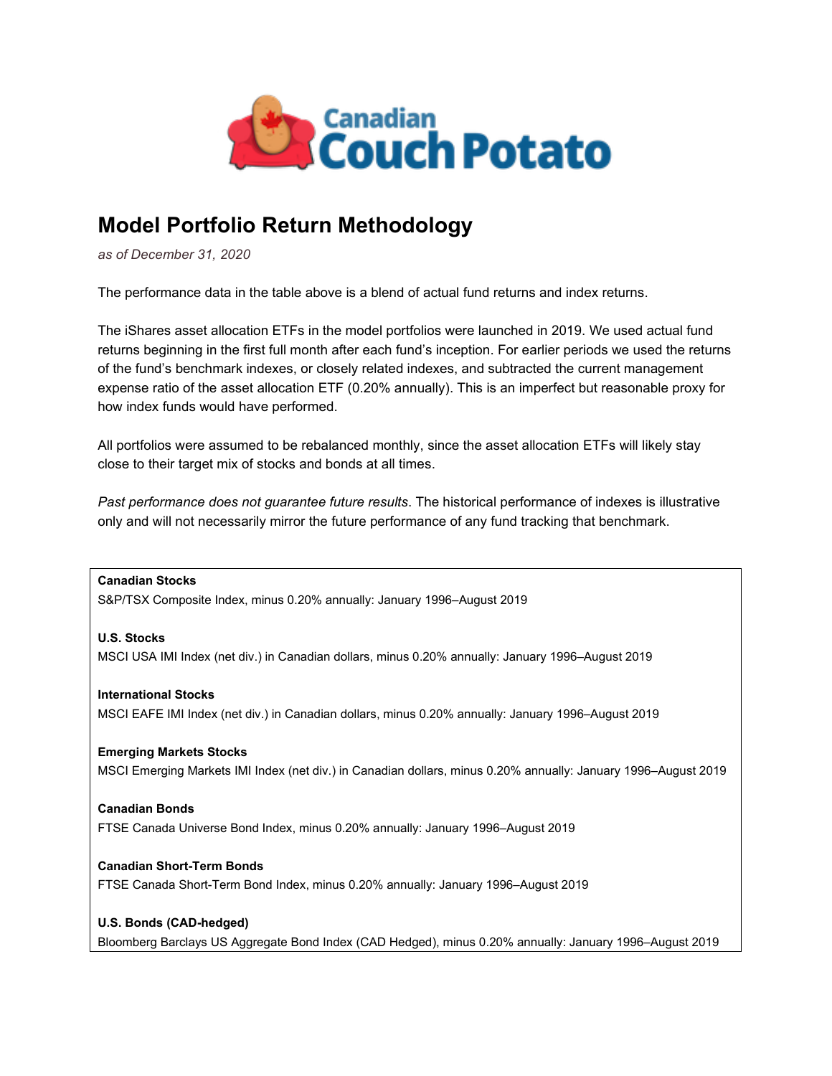

## **Model Portfolio Return Methodology**

*as of December 31, 2020*

The performance data in the table above is a blend of actual fund returns and index returns.

The iShares asset allocation ETFs in the model portfolios were launched in 2019. We used actual fund returns beginning in the first full month after each fund's inception. For earlier periods we used the returns of the fund's benchmark indexes, or closely related indexes, and subtracted the current management expense ratio of the asset allocation ETF (0.20% annually). This is an imperfect but reasonable proxy for how index funds would have performed.

All portfolios were assumed to be rebalanced monthly, since the asset allocation ETFs will likely stay close to their target mix of stocks and bonds at all times.

*Past performance does not guarantee future results*. The historical performance of indexes is illustrative only and will not necessarily mirror the future performance of any fund tracking that benchmark.

**Canadian Stocks** S&P/TSX Composite Index, minus 0.20% annually: January 1996–August 2019

**U.S. Stocks** MSCI USA IMI Index (net div.) in Canadian dollars, minus 0.20% annually: January 1996–August 2019

**International Stocks** MSCI EAFE IMI Index (net div.) in Canadian dollars, minus 0.20% annually: January 1996–August 2019

**Emerging Markets Stocks** MSCI Emerging Markets IMI Index (net div.) in Canadian dollars, minus 0.20% annually: January 1996–August 2019

**Canadian Bonds** FTSE Canada Universe Bond Index, minus 0.20% annually: January 1996–August 2019

**Canadian Short-Term Bonds** FTSE Canada Short-Term Bond Index, minus 0.20% annually: January 1996–August 2019

**U.S. Bonds (CAD-hedged)**

Bloomberg Barclays US Aggregate Bond Index (CAD Hedged), minus 0.20% annually: January 1996–August 2019